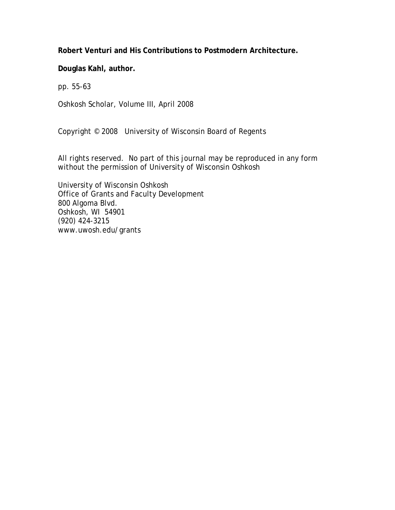**Robert Venturi and His Contributions to Postmodern Architecture.** 

**Douglas Kahl, author.** 

pp. 55-63

Oshkosh Scholar, Volume III, April 2008

Copyright © 2008 University of Wisconsin Board of Regents

All rights reserved. No part of this journal may be reproduced in any form without the permission of University of Wisconsin Oshkosh

University of Wisconsin Oshkosh Office of Grants and Faculty Development 800 Algoma Blvd. Oshkosh, WI 54901 (920) 424-3215 www.uwosh.edu/grants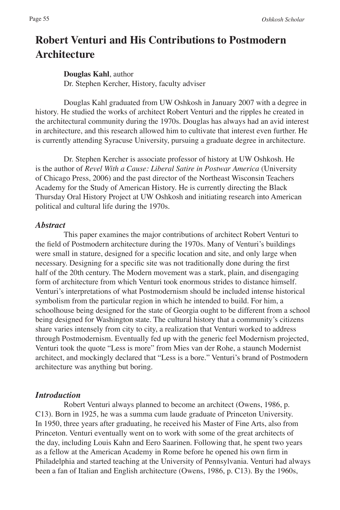# **Robert Venturi and His Contributions to Postmodern Architecture**

## **Douglas Kahl**, author

Dr. Stephen Kercher, History, faculty adviser

Douglas Kahl graduated from UW Oshkosh in January 2007 with a degree in history. He studied the works of architect Robert Venturi and the ripples he created in the architectural community during the 1970s. Douglas has always had an avid interest in architecture, and this research allowed him to cultivate that interest even further. He is currently attending Syracuse University, pursuing a graduate degree in architecture.

Dr. Stephen Kercher is associate professor of history at UW Oshkosh. He is the author of *Revel With a Cause: Liberal Satire in Postwar America* (University of Chicago Press, 2006) and the past director of the Northeast Wisconsin Teachers Academy for the Study of American History. He is currently directing the Black Thursday Oral History Project at UW Oshkosh and initiating research into American political and cultural life during the 1970s.

## *Abstract*

This paper examines the major contributions of architect Robert Venturi to the field of Postmodern architecture during the 1970s. Many of Venturi's buildings were small in stature, designed for a specific location and site, and only large when necessary. Designing for a specific site was not traditionally done during the first half of the 20th century. The Modern movement was a stark, plain, and disengaging form of architecture from which Venturi took enormous strides to distance himself. Venturi's interpretations of what Postmodernism should be included intense historical symbolism from the particular region in which he intended to build. For him, a schoolhouse being designed for the state of Georgia ought to be different from a school being designed for Washington state. The cultural history that a community's citizens share varies intensely from city to city, a realization that Venturi worked to address through Postmodernism. Eventually fed up with the generic feel Modernism projected, Venturi took the quote "Less is more" from Mies van der Rohe, a staunch Modernist architect, and mockingly declared that "Less is a bore." Venturi's brand of Postmodern architecture was anything but boring.

## *Introduction*

Robert Venturi always planned to become an architect (Owens, 1986, p. C13). Born in 1925, he was a summa cum laude graduate of Princeton University. In 1950, three years after graduating, he received his Master of Fine Arts, also from Princeton. Venturi eventually went on to work with some of the great architects of the day, including Louis Kahn and Eero Saarinen. Following that, he spent two years as a fellow at the American Academy in Rome before he opened his own firm in Philadelphia and started teaching at the University of Pennsylvania. Venturi had always been a fan of Italian and English architecture (Owens, 1986, p. C13). By the 1960s,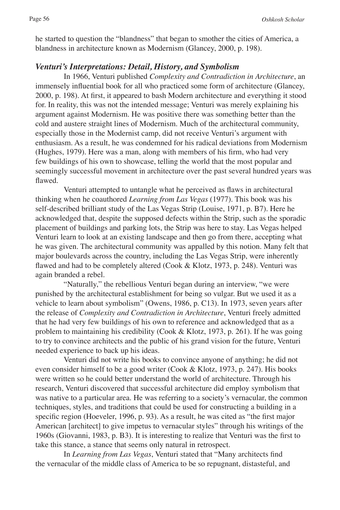he started to question the "blandness" that began to smother the cities of America, a blandness in architecture known as Modernism (Glancey, 2000, p. 198).

## *Venturi's Interpretations: Detail, History, and Symbolism*

In 1966, Venturi published *Complexity and Contradiction in Architecture*, an immensely influential book for all who practiced some form of architecture (Glancey, 2000, p. 198). At first, it appeared to bash Modern architecture and everything it stood for. In reality, this was not the intended message; Venturi was merely explaining his argument against Modernism. He was positive there was something better than the cold and austere straight lines of Modernism. Much of the architectural community, especially those in the Modernist camp, did not receive Venturi's argument with enthusiasm. As a result, he was condemned for his radical deviations from Modernism (Hughes, 1979). Here was a man, along with members of his firm, who had very few buildings of his own to showcase, telling the world that the most popular and seemingly successful movement in architecture over the past several hundred years was flawed.

Venturi attempted to untangle what he perceived as flaws in architectural thinking when he coauthored *Learning from Las Vegas* (1977). This book was his self-described brilliant study of the Las Vegas Strip (Louise, 1971, p. B7). Here he acknowledged that, despite the supposed defects within the Strip, such as the sporadic placement of buildings and parking lots, the Strip was here to stay. Las Vegas helped Venturi learn to look at an existing landscape and then go from there, accepting what he was given. The architectural community was appalled by this notion. Many felt that major boulevards across the country, including the Las Vegas Strip, were inherently flawed and had to be completely altered (Cook & Klotz, 1973, p. 248). Venturi was again branded a rebel.

"Naturally," the rebellious Venturi began during an interview, "we were punished by the architectural establishment for being so vulgar. But we used it as a vehicle to learn about symbolism" (Owens, 1986, p. C13). In 1973, seven years after the release of *Complexity and Contradiction in Architecture*, Venturi freely admitted that he had very few buildings of his own to reference and acknowledged that as a problem to maintaining his credibility (Cook & Klotz, 1973, p. 261). If he was going to try to convince architects and the public of his grand vision for the future, Venturi needed experience to back up his ideas.

Venturi did not write his books to convince anyone of anything; he did not even consider himself to be a good writer (Cook & Klotz, 1973, p. 247). His books were written so he could better understand the world of architecture. Through his research, Venturi discovered that successful architecture did employ symbolism that was native to a particular area. He was referring to a society's vernacular, the common techniques, styles, and traditions that could be used for constructing a building in a specific region (Hoeveler, 1996, p. 93). As a result, he was cited as "the first major American [architect] to give impetus to vernacular styles" through his writings of the 1960s (Giovanni, 1983, p. B3). It is interesting to realize that Venturi was the first to take this stance, a stance that seems only natural in retrospect.

In *Learning from Las Vegas*, Venturi stated that "Many architects find the vernacular of the middle class of America to be so repugnant, distasteful, and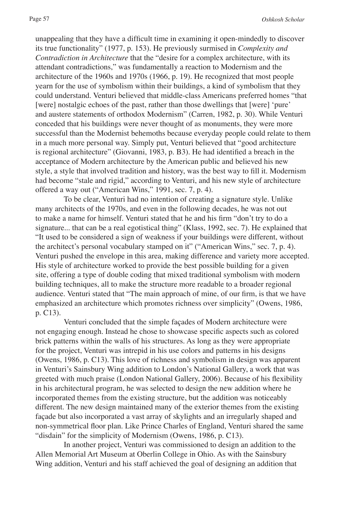unappealing that they have a difficult time in examining it open-mindedly to discover its true functionality" (1977, p. 153). He previously surmised in *Complexity and Contradiction in Architecture* that the "desire for a complex architecture, with its attendant contradictions," was fundamentally a reaction to Modernism and the architecture of the 1960s and 1970s (1966, p. 19). He recognized that most people yearn for the use of symbolism within their buildings, a kind of symbolism that they could understand. Venturi believed that middle-class Americans preferred homes "that [were] nostalgic echoes of the past, rather than those dwellings that [were] 'pure' and austere statements of orthodox Modernism" (Carren, 1982, p. 30). While Venturi conceded that his buildings were never thought of as monuments, they were more successful than the Modernist behemoths because everyday people could relate to them in a much more personal way. Simply put, Venturi believed that "good architecture is regional architecture" (Giovanni, 1983, p. B3). He had identified a breach in the acceptance of Modern architecture by the American public and believed his new style, a style that involved tradition and history, was the best way to fill it. Modernism had become "stale and rigid," according to Venturi, and his new style of architecture offered a way out ("American Wins," 1991, sec. 7, p. 4).

To be clear, Venturi had no intention of creating a signature style. Unlike many architects of the 1970s, and even in the following decades, he was not out to make a name for himself. Venturi stated that he and his firm "don't try to do a signature... that can be a real egotistical thing" (Klass, 1992, sec. 7). He explained that "It used to be considered a sign of weakness if your buildings were different, without the architect's personal vocabulary stamped on it" ("American Wins," sec. 7, p. 4). Venturi pushed the envelope in this area, making difference and variety more accepted. His style of architecture worked to provide the best possible building for a given site, offering a type of double coding that mixed traditional symbolism with modern building techniques, all to make the structure more readable to a broader regional audience. Venturi stated that "The main approach of mine, of our firm, is that we have emphasized an architecture which promotes richness over simplicity" (Owens, 1986, p. C13).

Venturi concluded that the simple façades of Modern architecture were not engaging enough. Instead he chose to showcase specific aspects such as colored brick patterns within the walls of his structures. As long as they were appropriate for the project, Venturi was intrepid in his use colors and patterns in his designs (Owens, 1986, p. C13). This love of richness and symbolism in design was apparent in Venturi's Sainsbury Wing addition to London's National Gallery, a work that was greeted with much praise (London National Gallery, 2006). Because of his flexibility in his architectural program, he was selected to design the new addition where he incorporated themes from the existing structure, but the addition was noticeably different. The new design maintained many of the exterior themes from the existing façade but also incorporated a vast array of skylights and an irregularly shaped and non-symmetrical floor plan. Like Prince Charles of England, Venturi shared the same "disdain" for the simplicity of Modernism (Owens, 1986, p. C13).

In another project, Venturi was commissioned to design an addition to the Allen Memorial Art Museum at Oberlin College in Ohio. As with the Sainsbury Wing addition, Venturi and his staff achieved the goal of designing an addition that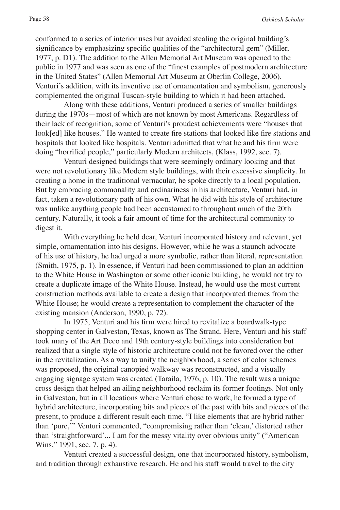conformed to a series of interior uses but avoided stealing the original building's significance by emphasizing specific qualities of the "architectural gem" (Miller, 1977, p. D1). The addition to the Allen Memorial Art Museum was opened to the public in 1977 and was seen as one of the "finest examples of postmodern architecture in the United States" (Allen Memorial Art Museum at Oberlin College, 2006). Venturi's addition, with its inventive use of ornamentation and symbolism, generously complemented the original Tuscan-style building to which it had been attached.

Along with these additions, Venturi produced a series of smaller buildings during the 1970s—most of which are not known by most Americans. Regardless of their lack of recognition, some of Venturi's proudest achievements were "houses that look[ed] like houses." He wanted to create fire stations that looked like fire stations and hospitals that looked like hospitals. Venturi admitted that what he and his firm were doing "horrified people," particularly Modern architects, (Klass, 1992, sec. 7).

Venturi designed buildings that were seemingly ordinary looking and that were not revolutionary like Modern style buildings, with their excessive simplicity. In creating a home in the traditional vernacular, he spoke directly to a local population. But by embracing commonality and ordinariness in his architecture, Venturi had, in fact, taken a revolutionary path of his own. What he did with his style of architecture was unlike anything people had been accustomed to throughout much of the 20th century. Naturally, it took a fair amount of time for the architectural community to digest it.

With everything he held dear, Venturi incorporated history and relevant, yet simple, ornamentation into his designs. However, while he was a staunch advocate of his use of history, he had urged a more symbolic, rather than literal, representation (Smith, 1975, p. 1). In essence, if Venturi had been commissioned to plan an addition to the White House in Washington or some other iconic building, he would not try to create a duplicate image of the White House. Instead, he would use the most current construction methods available to create a design that incorporated themes from the White House; he would create a representation to complement the character of the existing mansion (Anderson, 1990, p. 72).

In 1975, Venturi and his firm were hired to revitalize a boardwalk-type shopping center in Galveston, Texas, known as The Strand. Here, Venturi and his staff took many of the Art Deco and 19th century-style buildings into consideration but realized that a single style of historic architecture could not be favored over the other in the revitalization. As a way to unify the neighborhood, a series of color schemes was proposed, the original canopied walkway was reconstructed, and a visually engaging signage system was created (Taraila, 1976, p. 10). The result was a unique cross design that helped an ailing neighborhood reclaim its former footings. Not only in Galveston, but in all locations where Venturi chose to work, he formed a type of hybrid architecture, incorporating bits and pieces of the past with bits and pieces of the present, to produce a different result each time. "I like elements that are hybrid rather than 'pure,'" Venturi commented, "compromising rather than 'clean,' distorted rather than 'straightforward'... I am for the messy vitality over obvious unity" ("American Wins," 1991, sec. 7, p. 4).

Venturi created a successful design, one that incorporated history, symbolism, and tradition through exhaustive research. He and his staff would travel to the city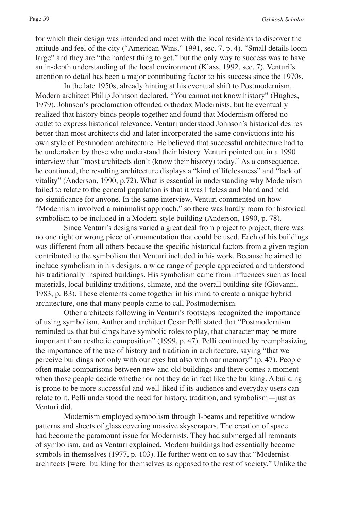for which their design was intended and meet with the local residents to discover the attitude and feel of the city ("American Wins," 1991, sec. 7, p. 4). "Small details loom large" and they are "the hardest thing to get," but the only way to success was to have an in-depth understanding of the local environment (Klass, 1992, sec. 7). Venturi's attention to detail has been a major contributing factor to his success since the 1970s.

In the late 1950s, already hinting at his eventual shift to Postmodernism, Modern architect Philip Johnson declared, "You cannot not know history" (Hughes, 1979). Johnson's proclamation offended orthodox Modernists, but he eventually realized that history binds people together and found that Modernism offered no outlet to express historical relevance. Venturi understood Johnson's historical desires better than most architects did and later incorporated the same convictions into his own style of Postmodern architecture. He believed that successful architecture had to be undertaken by those who understand their history. Venturi pointed out in a 1990 interview that "most architects don't (know their history) today." As a consequence, he continued, the resulting architecture displays a "kind of lifelessness" and "lack of vitality" (Anderson, 1990, p.72). What is essential in understanding why Modernism failed to relate to the general population is that it was lifeless and bland and held no significance for anyone. In the same interview, Venturi commented on how "Modernism involved a minimalist approach," so there was hardly room for historical symbolism to be included in a Modern-style building (Anderson, 1990, p. 78).

Since Venturi's designs varied a great deal from project to project, there was no one right or wrong piece of ornamentation that could be used. Each of his buildings was different from all others because the specific historical factors from a given region contributed to the symbolism that Venturi included in his work. Because he aimed to include symbolism in his designs, a wide range of people appreciated and understood his traditionally inspired buildings. His symbolism came from influences such as local materials, local building traditions, climate, and the overall building site (Giovanni, 1983, p. B3). These elements came together in his mind to create a unique hybrid architecture, one that many people came to call Postmodernism.

Other architects following in Venturi's footsteps recognized the importance of using symbolism. Author and architect Cesar Pelli stated that "Postmodernism reminded us that buildings have symbolic roles to play, that character may be more important than aesthetic composition" (1999, p. 47). Pelli continued by reemphasizing the importance of the use of history and tradition in architecture, saying "that we perceive buildings not only with our eyes but also with our memory" (p. 47). People often make comparisons between new and old buildings and there comes a moment when those people decide whether or not they do in fact like the building. A building is prone to be more successful and well-liked if its audience and everyday users can relate to it. Pelli understood the need for history, tradition, and symbolism—just as Venturi did.

Modernism employed symbolism through I-beams and repetitive window patterns and sheets of glass covering massive skyscrapers. The creation of space had become the paramount issue for Modernists. They had submerged all remnants of symbolism, and as Venturi explained, Modern buildings had essentially become symbols in themselves (1977, p. 103). He further went on to say that "Modernist architects [were] building for themselves as opposed to the rest of society." Unlike the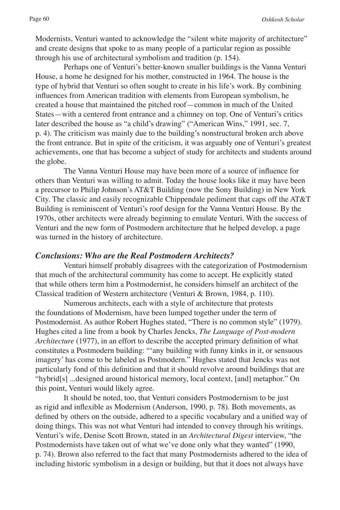Modernists, Venturi wanted to acknowledge the "silent white majority of architecture" and create designs that spoke to as many people of a particular region as possible through his use of architectural symbolism and tradition (p. 154).

Perhaps one of Venturi's better-known smaller buildings is the Vanna Venturi House, a home he designed for his mother, constructed in 1964. The house is the type of hybrid that Venturi so often sought to create in his life's work. By combining influences from American tradition with elements from European symbolism, he created a house that maintained the pitched roof—common in much of the United States—with a centered front entrance and a chimney on top. One of Venturi's critics later described the house as "a child's drawing" ("American Wins," 1991, sec. 7, p. 4). The criticism was mainly due to the building's nonstructural broken arch above the front entrance. But in spite of the criticism, it was arguably one of Venturi's greatest achievements, one that has become a subject of study for architects and students around the globe.

The Vanna Venturi House may have been more of a source of influence for others than Venturi was willing to admit. Today the house looks like it may have been a precursor to Philip Johnson's AT&T Building (now the Sony Building) in New York City. The classic and easily recognizable Chippendale pediment that caps off the AT&T Building is reminiscent of Venturi's roof design for the Vanna Venturi House. By the 1970s, other architects were already beginning to emulate Venturi. With the success of Venturi and the new form of Postmodern architecture that he helped develop, a page was turned in the history of architecture.

## *Conclusions: Who are the Real Postmodern Architects?*

Venturi himself probably disagrees with the categorization of Postmodernism that much of the architectural community has come to accept. He explicitly stated that while others term him a Postmodernist, he considers himself an architect of the Classical tradition of Western architecture (Venturi & Brown, 1984, p. 110).

Numerous architects, each with a style of architecture that protests the foundations of Modernism, have been lumped together under the term of Postmodernist. As author Robert Hughes stated, "There is no common style" (1979). Hughes cited a line from a book by Charles Jencks, *The Language of Post-modern Architecture* (1977), in an effort to describe the accepted primary definition of what constitutes a Postmodern building: "'any building with funny kinks in it, or sensuous imagery' has come to be labeled as Postmodern." Hughes stated that Jencks was not particularly fond of this definition and that it should revolve around buildings that are "hybrid[s] ...designed around historical memory, local context, [and] metaphor." On this point, Venturi would likely agree.

It should be noted, too, that Venturi considers Postmodernism to be just as rigid and inflexible as Modernism (Anderson, 1990, p. 78). Both movements, as defined by others on the outside, adhered to a specific vocabulary and a unified way of doing things. This was not what Venturi had intended to convey through his writings. Venturi's wife, Denise Scott Brown, stated in an *Architectural Digest* interview, "the Postmodernists have taken out of what we've done only what they wanted" (1990, p. 74). Brown also referred to the fact that many Postmodernists adhered to the idea of including historic symbolism in a design or building, but that it does not always have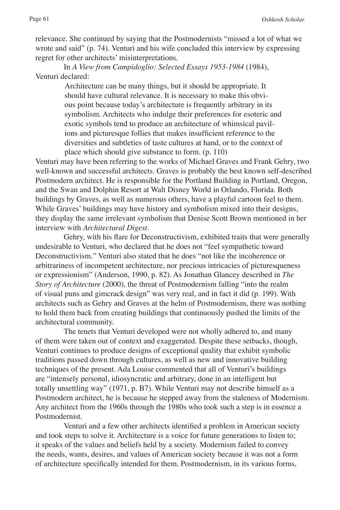relevance. She continued by saying that the Postmodernists "missed a lot of what we wrote and said" (p. 74). Venturi and his wife concluded this interview by expressing regret for other architects' misinterpretations.

In *A View from Campidoglio: Selected Essays 1953-1984* (1984), Venturi declared:

> Architecture can be many things, but it should be appropriate. It should have cultural relevance. It is necessary to make this obvious point because today's architecture is frequently arbitrary in its symbolism. Architects who indulge their preferences for esoteric and exotic symbols tend to produce an architecture of whimsical pavilions and picturesque follies that makes insufficient reference to the diversities and subtleties of taste cultures at hand, or to the context of place which should give substance to form. (p. 110)

Venturi may have been referring to the works of Michael Graves and Frank Gehry, two well-known and successful architects. Graves is probably the best known self-described Postmodern architect. He is responsible for the Portland Building in Portland, Oregon, and the Swan and Dolphin Resort at Walt Disney World in Orlando, Florida. Both buildings by Graves, as well as numerous others, have a playful cartoon feel to them. While Graves' buildings may have history and symbolism mixed into their designs, they display the same irrelevant symbolism that Denise Scott Brown mentioned in her interview with *Architectural Digest*.

Gehry, with his flare for Deconstructivism, exhibited traits that were generally undesirable to Venturi, who declared that he does not "feel sympathetic toward Deconstructivism." Venturi also stated that he does "not like the incoherence or arbitrariness of incompetent architecture, nor precious intricacies of picturesqueness or expressionism" (Anderson, 1990, p. 82). As Jonathan Glancey described in *The Story of Architecture* (2000), the threat of Postmodernism falling "into the realm of visual puns and gimcrack design" was very real, and in fact it did (p. 199). With architects such as Gehry and Graves at the helm of Postmodernism, there was nothing to hold them back from creating buildings that continuously pushed the limits of the architectural community.

The tenets that Venturi developed were not wholly adhered to, and many of them were taken out of context and exaggerated. Despite these setbacks, though, Venturi continues to produce designs of exceptional quality that exhibit symbolic traditions passed down through cultures, as well as new and innovative building techniques of the present. Ada Louise commented that all of Venturi's buildings are "intensely personal, idiosyncratic and arbitrary, done in an intelligent but totally unsettling way" (1971, p. B7). While Venturi may not describe himself as a Postmodern architect, he is because he stepped away from the staleness of Modernism. Any architect from the 1960s through the 1980s who took such a step is in essence a Postmodernist.

Venturi and a few other architects identified a problem in American society and took steps to solve it. Architecture is a voice for future generations to listen to; it speaks of the values and beliefs held by a society. Modernism failed to convey the needs, wants, desires, and values of American society because it was not a form of architecture specifically intended for them. Postmodernism, in its various forms,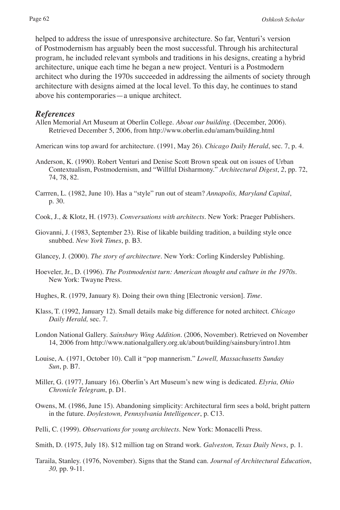helped to address the issue of unresponsive architecture. So far, Venturi's version of Postmodernism has arguably been the most successful. Through his architectural program, he included relevant symbols and traditions in his designs, creating a hybrid architecture, unique each time he began a new project. Venturi is a Postmodern architect who during the 1970s succeeded in addressing the ailments of society through architecture with designs aimed at the local level. To this day, he continues to stand above his contemporaries—a unique architect.

#### *References*

Allen Memorial Art Museum at Oberlin College. *About our building*. (December, 2006). Retrieved December 5, 2006, from http://www.oberlin.edu/amam/building.html

American wins top award for architecture. (1991, May 26). *Chicago Daily Herald*, sec. 7, p. 4.

- Anderson, K. (1990). Robert Venturi and Denise Scott Brown speak out on issues of Urban Contextualism, Postmodernism, and "Willful Disharmony." *Architectural Digest*, *2*, pp. 72, 74, 78, 82.
- Carrren, L. (1982, June 10). Has a "style" run out of steam? *Annapolis, Maryland Capital*, p. 30.
- Cook, J., & Klotz, H. (1973). *Conversations with architects*. New York: Praeger Publishers.
- Giovanni, J. (1983, September 23). Rise of likable building tradition, a building style once snubbed. *New York Times*, p. B3.
- Glancey, J. (2000). *The story of architecture*. New York: Corling Kindersley Publishing.
- Hoeveler, Jr., D. (1996). *The Postmodenist turn: American thought and culture in the 1970s*. New York: Twayne Press.
- Hughes, R. (1979, January 8). Doing their own thing [Electronic version]. *Time*.
- Klass, T. (1992, January 12). Small details make big difference for noted architect. *Chicago Daily Herald,* sec. 7.
- London National Gallery. *Sainsbury Wing Addition*. (2006, November). Retrieved on November 14, 2006 from http://www.nationalgallery.org.uk/about/building/sainsbury/intro1.htm
- Louise, A. (1971, October 10). Call it "pop mannerism." *Lowell, Massachusetts Sunday Sun*, p. B7.
- Miller, G. (1977, January 16). Oberlin's Art Museum's new wing is dedicated. *Elyria, Ohio Chronicle Telegram*, p. D1.
- Owens, M. (1986, June 15). Abandoning simplicity: Architectural firm sees a bold, bright pattern in the future. *Doylestown, Pennsylvania Intelligencer*, p. C13.
- Pelli, C. (1999). *Observations for young architects*. New York: Monacelli Press.
- Smith, D. (1975, July 18). \$12 million tag on Strand work. *Galveston, Texas Daily News*, p. 1.
- Taraila, Stanley. (1976, November). Signs that the Stand can. *Journal of Architectural Education*, *30,* pp. 9-11.